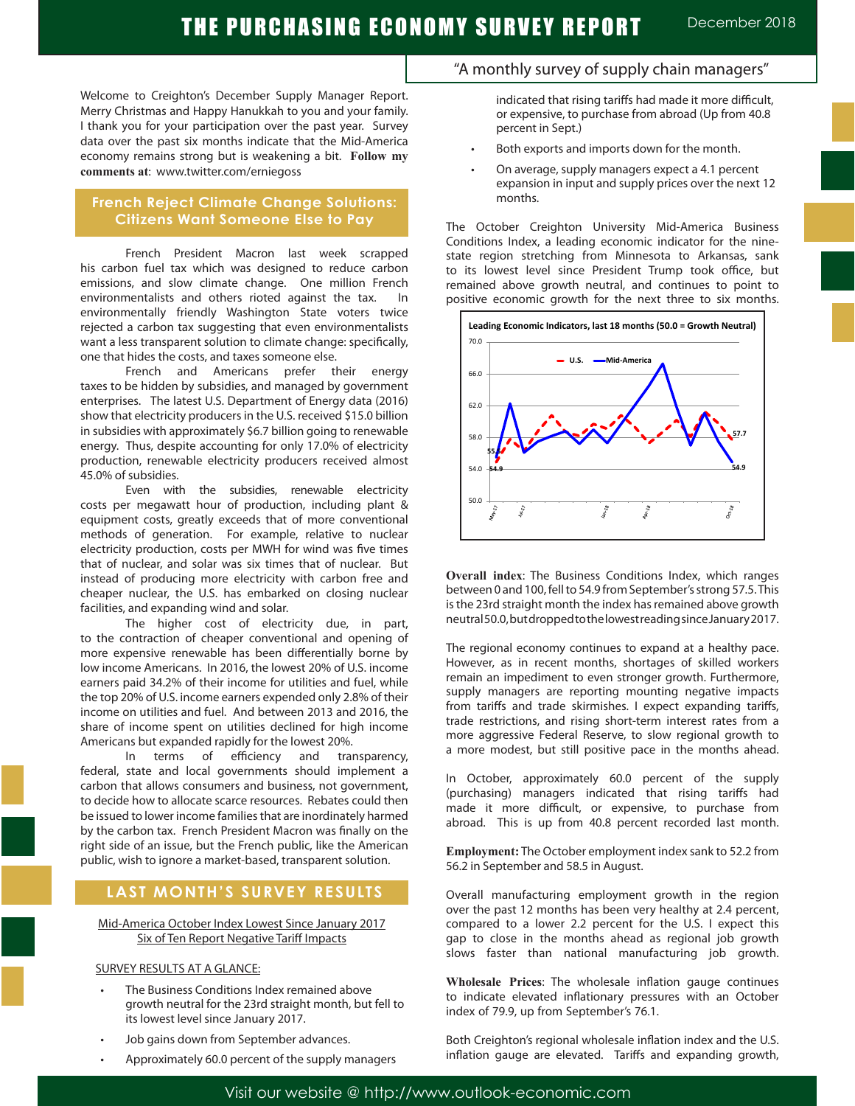Welcome to Creighton's December Supply Manager Report. Merry Christmas and Happy Hanukkah to you and your family. I thank you for your participation over the past year. Survey data over the past six months indicate that the Mid-America economy remains strong but is weakening a bit. **Follow my comments at**: www.twitter.com/erniegoss

#### **French Reject Climate Change Solutions: Citizens Want Someone Else to Pay**

French President Macron last week scrapped his carbon fuel tax which was designed to reduce carbon emissions, and slow climate change. One million French environmentalists and others rioted against the tax. In environmentally friendly Washington State voters twice rejected a carbon tax suggesting that even environmentalists want a less transparent solution to climate change: specifically, one that hides the costs, and taxes someone else.

French and Americans prefer their energy taxes to be hidden by subsidies, and managed by government enterprises. The latest U.S. Department of Energy data (2016) show that electricity producers in the U.S. received \$15.0 billion in subsidies with approximately \$6.7 billion going to renewable energy. Thus, despite accounting for only 17.0% of electricity production, renewable electricity producers received almost 45.0% of subsidies.

Even with the subsidies, renewable electricity costs per megawatt hour of production, including plant & equipment costs, greatly exceeds that of more conventional methods of generation. For example, relative to nuclear electricity production, costs per MWH for wind was five times that of nuclear, and solar was six times that of nuclear. But instead of producing more electricity with carbon free and cheaper nuclear, the U.S. has embarked on closing nuclear facilities, and expanding wind and solar.

The higher cost of electricity due, in part, to the contraction of cheaper conventional and opening of more expensive renewable has been differentially borne by low income Americans. In 2016, the lowest 20% of U.S. income earners paid 34.2% of their income for utilities and fuel, while the top 20% of U.S. income earners expended only 2.8% of their income on utilities and fuel. And between 2013 and 2016, the share of income spent on utilities declined for high income Americans but expanded rapidly for the lowest 20%.

In terms of efficiency and transparency, federal, state and local governments should implement a carbon that allows consumers and business, not government, to decide how to allocate scarce resources. Rebates could then be issued to lower income families that are inordinately harmed by the carbon tax. French President Macron was finally on the right side of an issue, but the French public, like the American public, wish to ignore a market-based, transparent solution.

## **LAST MONTH'S SURVEY RESULTS**

Mid-America October Index Lowest Since January 2017 Six of Ten Report Negative Tariff Impacts

#### SURVEY RESULTS AT A GLANCE:

- The Business Conditions Index remained above growth neutral for the 23rd straight month, but fell to its lowest level since January 2017.
- Job gains down from September advances.
- Approximately 60.0 percent of the supply managers

## "A monthly survey of supply chain managers"

indicated that rising tariffs had made it more difficult, or expensive, to purchase from abroad (Up from 40.8 percent in Sept.)

- Both exports and imports down for the month.
- On average, supply managers expect a 4.1 percent expansion in input and supply prices over the next 12 months.

The October Creighton University Mid-America Business Conditions Index, a leading economic indicator for the ninestate region stretching from Minnesota to Arkansas, sank to its lowest level since President Trump took office, but remained above growth neutral, and continues to point to positive economic growth for the next three to six months.



**Overall index**: The Business Conditions Index, which ranges between 0 and 100, fell to 54.9 from September's strong 57.5. This is the 23rd straight month the index has remained above growth neutral 50.0, but dropped to the lowest reading since January 2017.

The regional economy continues to expand at a healthy pace. However, as in recent months, shortages of skilled workers remain an impediment to even stronger growth. Furthermore, supply managers are reporting mounting negative impacts from tariffs and trade skirmishes. I expect expanding tariffs, trade restrictions, and rising short-term interest rates from a more aggressive Federal Reserve, to slow regional growth to a more modest, but still positive pace in the months ahead.

In October, approximately 60.0 percent of the supply (purchasing) managers indicated that rising tariffs had made it more difficult, or expensive, to purchase from abroad. This is up from 40.8 percent recorded last month.

**Employment:** The October employment index sank to 52.2 from 56.2 in September and 58.5 in August. .

Overall manufacturing employment growth in the region over the past 12 months has been very healthy at 2.4 percent, compared to a lower 2.2 percent for the U.S. I expect this gap to close in the months ahead as regional job growth slows faster than national manufacturing job growth.

**Wholesale Prices**: The wholesale inflation gauge continues to indicate elevated inflationary pressures with an October index of 79.9, up from September's 76.1.

Both Creighton's regional wholesale inflation index and the U.S. inflation gauge are elevated. Tariffs and expanding growth,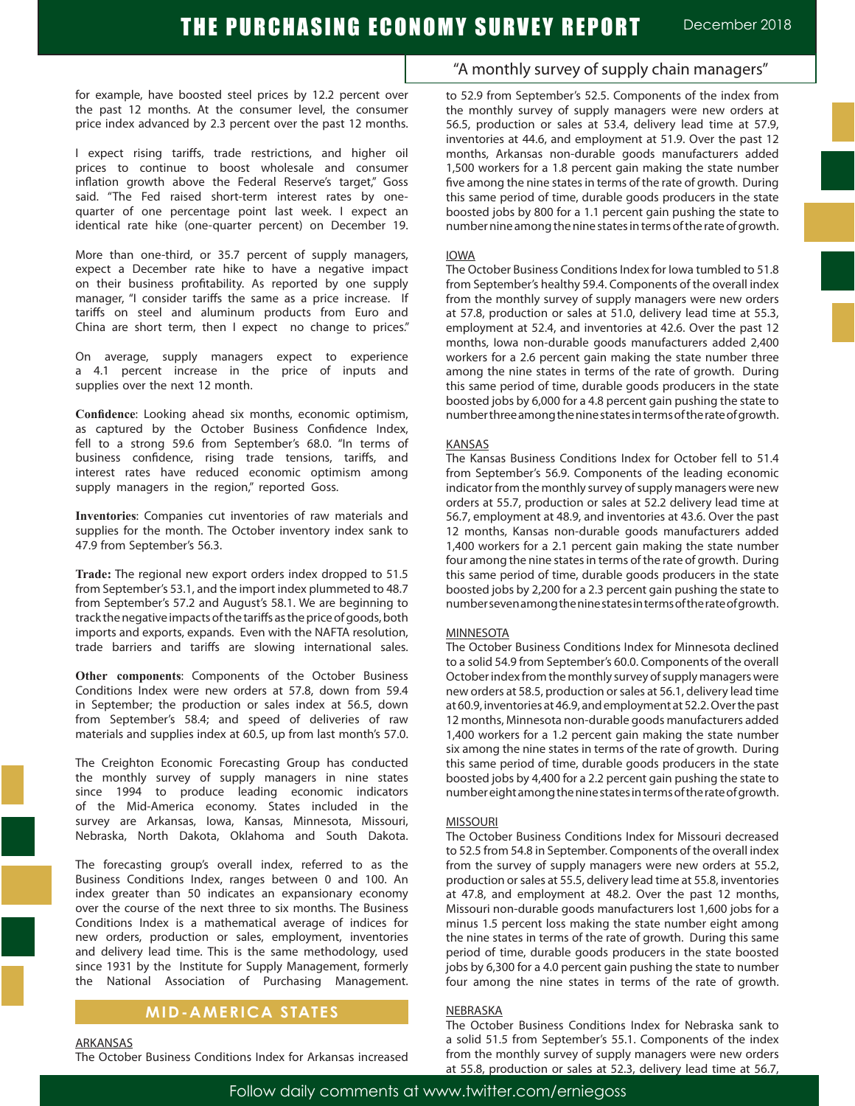for example, have boosted steel prices by 12.2 percent over the past 12 months. At the consumer level, the consumer price index advanced by 2.3 percent over the past 12 months.

I expect rising tariffs, trade restrictions, and higher oil prices to continue to boost wholesale and consumer inflation growth above the Federal Reserve's target," Goss said. "The Fed raised short-term interest rates by onequarter of one percentage point last week. I expect an identical rate hike (one-quarter percent) on December 19.

More than one-third, or 35.7 percent of supply managers, expect a December rate hike to have a negative impact on their business profitability. As reported by one supply manager, "I consider tariffs the same as a price increase. If tariffs on steel and aluminum products from Euro and China are short term, then I expect no change to prices."

On average, supply managers expect to experience a 4.1 percent increase in the price of inputs and supplies over the next 12 month.

**Confidence**: Looking ahead six months, economic optimism, as captured by the October Business Confidence Index, fell to a strong 59.6 from September's 68.0. "In terms of business confidence, rising trade tensions, tariffs, and interest rates have reduced economic optimism among supply managers in the region," reported Goss.

**Inventories**: Companies cut inventories of raw materials and supplies for the month. The October inventory index sank to 47.9 from September's 56.3. .

**Trade:** The regional new export orders index dropped to 51.5 from September's 53.1, and the import index plummeted to 48.7 from September's 57.2 and August's 58.1. We are beginning to track the negative impacts of the tariffs as the price of goods, both imports and exports, expands. Even with the NAFTA resolution, trade barriers and tariffs are slowing international sales.

**Other components**: Components of the October Business Conditions Index were new orders at 57.8, down from 59.4 in September; the production or sales index at 56.5, down from September's 58.4; and speed of deliveries of raw materials and supplies index at 60.5, up from last month's 57.0.

The Creighton Economic Forecasting Group has conducted the monthly survey of supply managers in nine states since 1994 to produce leading economic indicators of the Mid-America economy. States included in the survey are Arkansas, Iowa, Kansas, Minnesota, Missouri, Nebraska, North Dakota, Oklahoma and South Dakota.

The forecasting group's overall index, referred to as the Business Conditions Index, ranges between 0 and 100. An index greater than 50 indicates an expansionary economy over the course of the next three to six months. The Business Conditions Index is a mathematical average of indices for new orders, production or sales, employment, inventories and delivery lead time. This is the same methodology, used since 1931 by the Institute for Supply Management, formerly the National Association of Purchasing Management.

## **MID-AMERICA STATES**

ARKANSAS

The October Business Conditions Index for Arkansas increased

## "A monthly survey of supply chain managers"

to 52.9 from September's 52.5. Components of the index from the monthly survey of supply managers were new orders at 56.5, production or sales at 53.4, delivery lead time at 57.9, inventories at 44.6, and employment at 51.9. Over the past 12 months, Arkansas non-durable goods manufacturers added 1,500 workers for a 1.8 percent gain making the state number five among the nine states in terms of the rate of growth. During this same period of time, durable goods producers in the state boosted jobs by 800 for a 1.1 percent gain pushing the state to number nine among the nine states in terms of the rate of growth.

#### IOWA

The October Business Conditions Index for Iowa tumbled to 51.8 from September's healthy 59.4. Components of the overall index from the monthly survey of supply managers were new orders at 57.8, production or sales at 51.0, delivery lead time at 55.3, employment at 52.4, and inventories at 42.6. Over the past 12 months, Iowa non-durable goods manufacturers added 2,400 workers for a 2.6 percent gain making the state number three among the nine states in terms of the rate of growth. During this same period of time, durable goods producers in the state boosted jobs by 6,000 for a 4.8 percent gain pushing the state to number three among the nine states in terms of the rate of growth.

#### KANSAS

The Kansas Business Conditions Index for October fell to 51.4 from September's 56.9. Components of the leading economic indicator from the monthly survey of supply managers were new orders at 55.7, production or sales at 52.2 delivery lead time at 56.7, employment at 48.9, and inventories at 43.6. Over the past 12 months, Kansas non-durable goods manufacturers added 1,400 workers for a 2.1 percent gain making the state number four among the nine states in terms of the rate of growth. During this same period of time, durable goods producers in the state boosted jobs by 2,200 for a 2.3 percent gain pushing the state to number seven among the nine states in terms of the rate of growth.

#### MINNESOTA

The October Business Conditions Index for Minnesota declined to a solid 54.9 from September's 60.0. Components of the overall October index from the monthly survey of supply managers were new orders at 58.5, production or sales at 56.1, delivery lead time at 60.9, inventories at 46.9, and employment at 52.2. Over the past 12 months, Minnesota non-durable goods manufacturers added 1,400 workers for a 1.2 percent gain making the state number six among the nine states in terms of the rate of growth. During this same period of time, durable goods producers in the state boosted jobs by 4,400 for a 2.2 percent gain pushing the state to number eight among the nine states in terms of the rate of growth.

#### **MISSOURI**

The October Business Conditions Index for Missouri decreased to 52.5 from 54.8 in September. Components of the overall index from the survey of supply managers were new orders at 55.2, production or sales at 55.5, delivery lead time at 55.8, inventories at 47.8, and employment at 48.2. Over the past 12 months, Missouri non-durable goods manufacturers lost 1,600 jobs for a minus 1.5 percent loss making the state number eight among the nine states in terms of the rate of growth. During this same period of time, durable goods producers in the state boosted jobs by 6,300 for a 4.0 percent gain pushing the state to number four among the nine states in terms of the rate of growth.

#### NEBRASKA

The October Business Conditions Index for Nebraska sank to a solid 51.5 from September's 55.1. Components of the index from the monthly survey of supply managers were new orders at 55.8, production or sales at 52.3, delivery lead time at 56.7,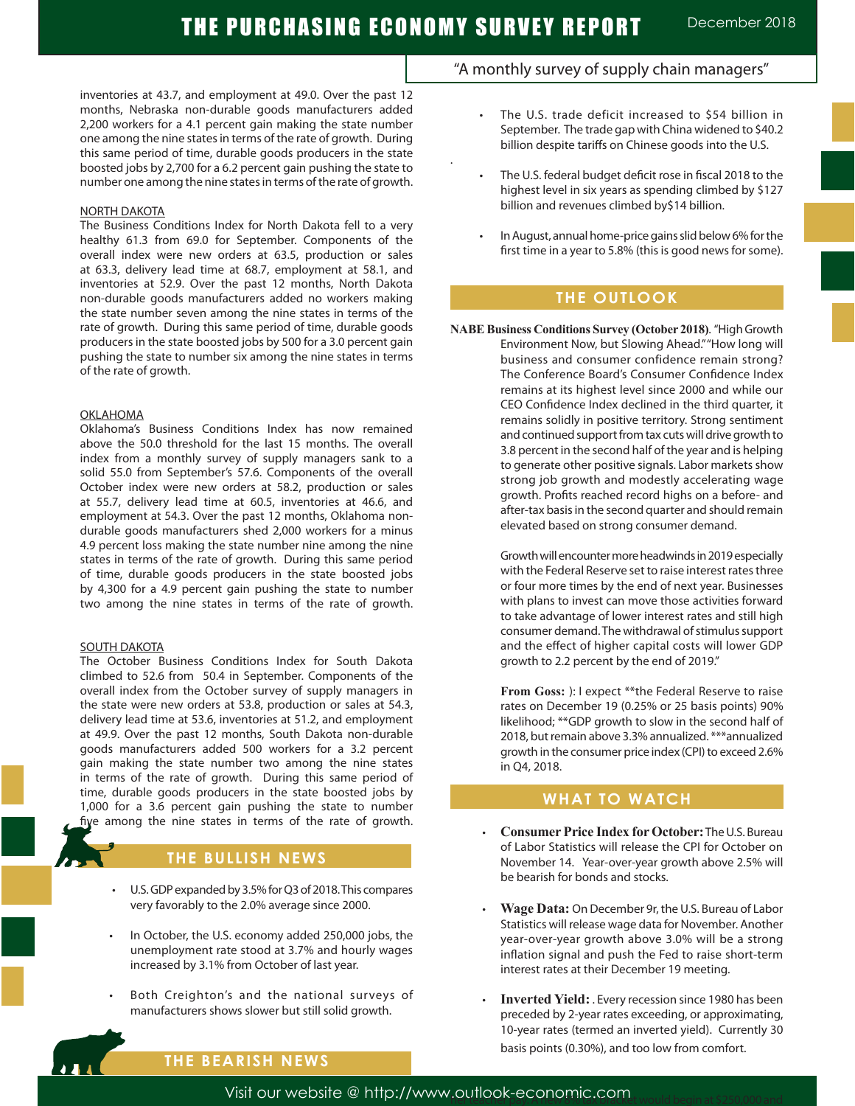.

inventories at 43.7, and employment at 49.0. Over the past 12 months, Nebraska non-durable goods manufacturers added 2,200 workers for a 4.1 percent gain making the state number one among the nine states in terms of the rate of growth. During this same period of time, durable goods producers in the state boosted jobs by 2,700 for a 6.2 percent gain pushing the state to number one among the nine states in terms of the rate of growth.

#### NORTH DAKOTA

The Business Conditions Index for North Dakota fell to a very healthy 61.3 from 69.0 for September. Components of the overall index were new orders at 63.5, production or sales at 63.3, delivery lead time at 68.7, employment at 58.1, and inventories at 52.9. Over the past 12 months, North Dakota non-durable goods manufacturers added no workers making the state number seven among the nine states in terms of the rate of growth. During this same period of time, durable goods producers in the state boosted jobs by 500 for a 3.0 percent gain pushing the state to number six among the nine states in terms of the rate of growth.

#### **OKLAHOMA**

Oklahoma's Business Conditions Index has now remained above the 50.0 threshold for the last 15 months. The overall index from a monthly survey of supply managers sank to a solid 55.0 from September's 57.6. Components of the overall October index were new orders at 58.2, production or sales at 55.7, delivery lead time at 60.5, inventories at 46.6, and employment at 54.3. Over the past 12 months, Oklahoma nondurable goods manufacturers shed 2,000 workers for a minus 4.9 percent loss making the state number nine among the nine states in terms of the rate of growth. During this same period of time, durable goods producers in the state boosted jobs by 4,300 for a 4.9 percent gain pushing the state to number two among the nine states in terms of the rate of growth.

#### SOUTH DAKOTA

The October Business Conditions Index for South Dakota climbed to 52.6 from 50.4 in September. Components of the overall index from the October survey of supply managers in the state were new orders at 53.8, production or sales at 54.3, delivery lead time at 53.6, inventories at 51.2, and employment at 49.9. Over the past 12 months, South Dakota non-durable goods manufacturers added 500 workers for a 3.2 percent gain making the state number two among the nine states in terms of the rate of growth. During this same period of time, durable goods producers in the state boosted jobs by 1,000 for a 3.6 percent gain pushing the state to number five among the nine states in terms of the rate of growth.

#### **THE BULLISH NEWS**

- U.S. GDP expanded by 3.5% for Q3 of 2018. This compares very favorably to the 2.0% average since 2000.
- In October, the U.S. economy added 250,000 jobs, the unemployment rate stood at 3.7% and hourly wages increased by 3.1% from October of last year.
- Both Creighton's and the national surveys of manufacturers shows slower but still solid growth.

# "A monthly survey of supply chain managers"

- The U.S. trade deficit increased to \$54 billion in September. The trade gap with China widened to \$40.2 billion despite tariffs on Chinese goods into the U.S.
- The U.S. federal budget deficit rose in fiscal 2018 to the highest level in six years as spending climbed by \$127 billion and revenues climbed by\$14 billion.
	- In August, annual home-price gains slid below 6% for the first time in a year to 5.8% (this is good news for some).

## **THE OUTLOOK**

**NABE Business Conditions Survey (October 2018)**. "High Growth Environment Now, but Slowing Ahead." "How long will business and consumer confidence remain strong? The Conference Board's Consumer Confidence Index remains at its highest level since 2000 and while our CEO Confidence Index declined in the third quarter, it remains solidly in positive territory. Strong sentiment and continued support from tax cuts will drive growth to 3.8 percent in the second half of the year and is helping to generate other positive signals. Labor markets show strong job growth and modestly accelerating wage growth. Profits reached record highs on a before- and after-tax basis in the second quarter and should remain elevated based on strong consumer demand.

> Growth will encounter more headwinds in 2019 especially with the Federal Reserve set to raise interest rates three or four more times by the end of next year. Businesses with plans to invest can move those activities forward to take advantage of lower interest rates and still high consumer demand. The withdrawal of stimulus support and the effect of higher capital costs will lower GDP growth to 2.2 percent by the end of 2019."

> **From Goss:** ): I expect \*\*the Federal Reserve to raise rates on December 19 (0.25% or 25 basis points) 90% likelihood; \*\*GDP growth to slow in the second half of 2018, but remain above 3.3% annualized. \*\*\*annualized growth in the consumer price index (CPI) to exceed 2.6% in Q4, 2018.

## **WHAT TO WATCH**

- **Consumer Price Index for October: The U.S. Bureau** of Labor Statistics will release the CPI for October on November 14. Year-over-year growth above 2.5% will be bearish for bonds and stocks.
- **Wage Data: On December 9r, the U.S. Bureau of Labor** Statistics will release wage data for November. Another year-over-year growth above 3.0% will be a strong inflation signal and push the Fed to raise short-term interest rates at their December 19 meeting.
- **Inverted Yield:** . Every recession since 1980 has been preceded by 2-year rates exceeding, or approximating, 10-year rates (termed an inverted yield). Currently 30 basis points (0.30%), and too low from comfort.

# **THE BEARISH NEWS**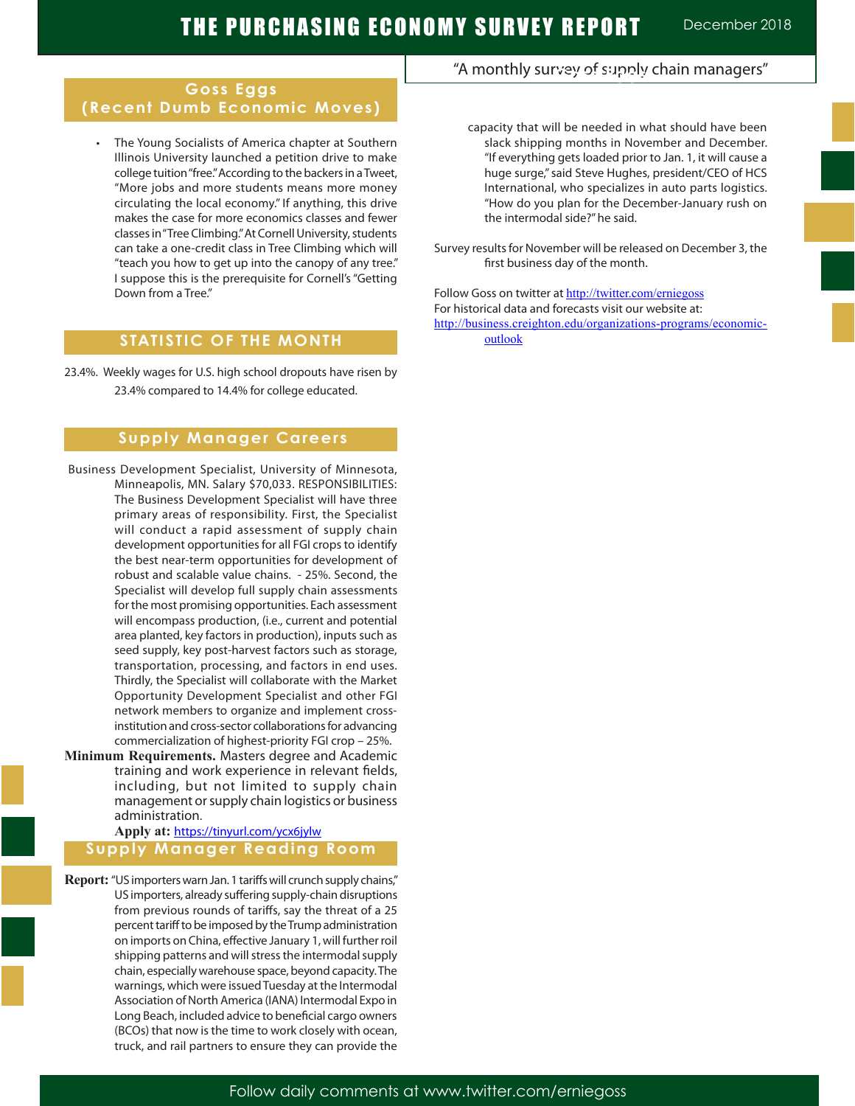## **Goss Eggs (Recent Dumb Economic Moves)**

 • The Young Socialists of America chapter at Southern Illinois University launched a petition drive to make college tuition "free." According to the backers in a Tweet, "More jobs and more students means more money circulating the local economy." If anything, this drive makes the case for more economics classes and fewer classes in "Tree Climbing." At Cornell University, students can take a one-credit class in Tree Climbing which will "teach you how to get up into the canopy of any tree." I suppose this is the prerequisite for Cornell's "Getting Down from a Tree"

## **STATISTIC OF THE MONTH**

23.4%. Weekly wages for U.S. high school dropouts have risen by 23.4% compared to 14.4% for college educated.

### **Supply Manager Careers**

- Business Development Specialist, University of Minnesota, Minneapolis, MN. Salary \$70,033. RESPONSIBILITIES: The Business Development Specialist will have three primary areas of responsibility. First, the Specialist will conduct a rapid assessment of supply chain development opportunities for all FGI crops to identify the best near-term opportunities for development of robust and scalable value chains. - 25%. Second, the Specialist will develop full supply chain assessments for the most promising opportunities. Each assessment will encompass production, (i.e., current and potential area planted, key factors in production), inputs such as seed supply, key post-harvest factors such as storage, transportation, processing, and factors in end uses. Thirdly, the Specialist will collaborate with the Market Opportunity Development Specialist and other FGI network members to organize and implement crossinstitution and cross-sector collaborations for advancing commercialization of highest-priority FGI crop – 25%.
- **Minimum Requirements.** Masters degree and Academic training and work experience in relevant fields, including, but not limited to supply chain management or supply chain logistics or business administration.

#### **Apply at:** https://tinyurl.com/ycx6jylw **Supply Manager Reading Room**

**Report:** "US importers warn Jan. 1 tariffs will crunch supply chains," US importers, already suffering supply-chain disruptions from previous rounds of tariffs, say the threat of a 25 percent tariff to be imposed by the Trump administration on imports on China, effective January 1, will further roil shipping patterns and will stress the intermodal supply chain, especially warehouse space, beyond capacity. The warnings, which were issued Tuesday at the Intermodal Association of North America (IANA) Intermodal Expo in Long Beach, included advice to beneficial cargo owners (BCOs) that now is the time to work closely with ocean, truck, and rail partners to ensure they can provide the

# "A monthly survey of supply chain managers" **Goss Eggs**

- capacity that will be needed in what should have been slack shipping months in November and December. "If everything gets loaded prior to Jan. 1, it will cause a huge surge," said Steve Hughes, president/CEO of HCS International, who specializes in auto parts logistics. "How do you plan for the December-January rush on the intermodal side?" he said.
- Survey results for November will be released on December 3, the first business day of the month.

Follow Goss on twitter at http://twitter.com/erniegoss For historical data and forecasts visit our website at: http://business.creighton.edu/organizations-programs/economicoutlook